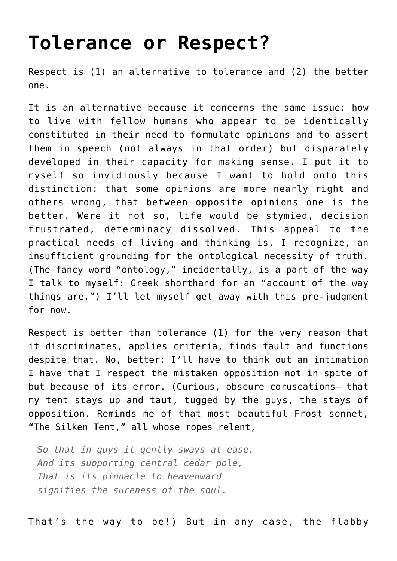## **[Tolerance or Respect?](https://intellectualtakeout.org/2016/03/tolerance-or-respect/)**

Respect is (1) an alternative to tolerance and (2) the better one.

It is an alternative because it concerns the same issue: how to live with fellow humans who appear to be identically constituted in their need to formulate opinions and to assert them in speech (not always in that order) but disparately developed in their capacity for making sense. I put it to myself so invidiously because I want to hold onto this distinction: that some opinions are more nearly right and others wrong, that between opposite opinions one is the better. Were it not so, life would be stymied, decision frustrated, determinacy dissolved. This appeal to the practical needs of living and thinking is, I recognize, an insufficient grounding for the ontological necessity of truth. (The fancy word "ontology," incidentally, is a part of the way I talk to myself: Greek shorthand for an "account of the way things are.") I'll let myself get away with this pre-judgment for now.

Respect is better than tolerance (1) for the very reason that it discriminates, applies criteria, finds fault and functions despite that. No, better: I'll have to think out an intimation I have that I respect the mistaken opposition not in spite of but because of its error. (Curious, obscure coruscations— that my tent stays up and taut, tugged by the guys, the stays of opposition. Reminds me of that most beautiful Frost sonnet, "The Silken Tent," all whose ropes relent,

*So that in guys it gently sways at ease, And its supporting central cedar pole, That is its pinnacle to heavenward signifies the sureness of the soul.*

That's the way to be!) But in any case, the flabby